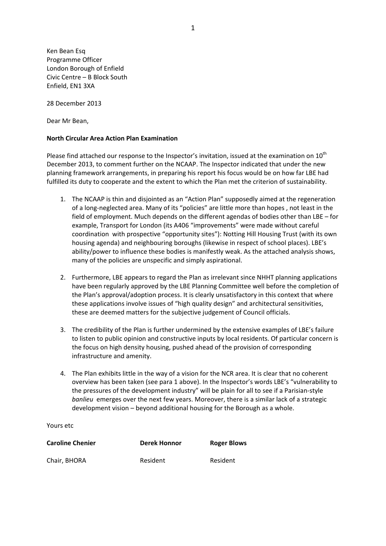Ken Bean Esq Programme Officer London Borough of Enfield Civic Centre – B Block South Enfield, EN1 3XA

28 December 2013

Dear Mr Bean,

## **North Circular Area Action Plan Examination**

Please find attached our response to the Inspector's invitation, issued at the examination on  $10^{th}$ December 2013, to comment further on the NCAAP. The Inspector indicated that under the new planning framework arrangements, in preparing his report his focus would be on how far LBE had fulfilled its duty to cooperate and the extent to which the Plan met the criterion of sustainability.

- 1. The NCAAP is thin and disjointed as an "Action Plan" supposedly aimed at the regeneration of a long-neglected area. Many of its "policies" are little more than hopes , not least in the field of employment. Much depends on the different agendas of bodies other than LBE – for example, Transport for London (its A406 "improvements" were made without careful coordination with prospective "opportunity sites"): Notting Hill Housing Trust (with its own housing agenda) and neighbouring boroughs (likewise in respect of school places). LBE's ability/power to influence these bodies is manifestly weak. As the attached analysis shows, many of the policies are unspecific and simply aspirational.
- 2. Furthermore, LBE appears to regard the Plan as irrelevant since NHHT planning applications have been regularly approved by the LBE Planning Committee well before the completion of the Plan's approval/adoption process. It is clearly unsatisfactory in this context that where these applications involve issues of "high quality design" and architectural sensitivities, these are deemed matters for the subjective judgement of Council officials.
- 3. The credibility of the Plan is further undermined by the extensive examples of LBE's failure to listen to public opinion and constructive inputs by local residents. Of particular concern is the focus on high density housing, pushed ahead of the provision of corresponding infrastructure and amenity.
- 4. The Plan exhibits little in the way of a vision for the NCR area. It is clear that no coherent overview has been taken (see para 1 above). In the Inspector's words LBE's "vulnerability to the pressures of the development industry" will be plain for all to see if a Parisian-style *banlieu* emerges over the next few years. Moreover, there is a similar lack of a strategic development vision – beyond additional housing for the Borough as a whole.

Yours etc

| <b>Caroline Chenier</b> | <b>Derek Honnor</b> | <b>Roger Blows</b> |
|-------------------------|---------------------|--------------------|
| Chair, BHORA            | Resident            | Resident           |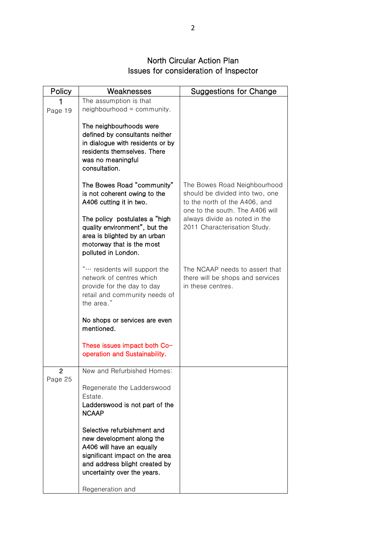## North Circular Action Plan Issues for consideration of Inspector

| Policy  | Weaknesses                                                                                                                                                                       | Suggestions for Change                                                                                                              |
|---------|----------------------------------------------------------------------------------------------------------------------------------------------------------------------------------|-------------------------------------------------------------------------------------------------------------------------------------|
|         | The assumption is that                                                                                                                                                           |                                                                                                                                     |
| Page 19 | neighbourhood = community.                                                                                                                                                       |                                                                                                                                     |
|         | The neighbourhoods were<br>defined by consultants neither<br>in dialogue with residents or by<br>residents themselves. There<br>was no meaningful<br>consultation.               |                                                                                                                                     |
|         | The Bowes Road "community"<br>is not coherent owing to the<br>A406 cutting it in two.                                                                                            | The Bowes Road Neighbourhood<br>should be divided into two, one<br>to the north of the A406, and<br>one to the south. The A406 will |
|         | The policy postulates a "high"<br>quality environment", but the<br>area is blighted by an urban<br>motorway that is the most<br>polluted in London.                              | always divide as noted in the<br>2011 Characterisation Study.                                                                       |
|         | " residents will support the<br>network of centres which<br>provide for the day to day<br>retail and community needs of<br>the area."                                            | The NCAAP needs to assert that<br>there will be shops and services<br>in these centres.                                             |
|         | No shops or services are even<br>mentioned.                                                                                                                                      |                                                                                                                                     |
|         | These issues impact both Co-<br>operation and Sustainability.                                                                                                                    |                                                                                                                                     |
| 2       | New and Refurbished Homes:                                                                                                                                                       |                                                                                                                                     |
| Page 25 | Regenerate the Ladderswood<br>Estate.<br>Ladderswood is not part of the<br><b>NCAAP</b><br>Selective refurbishment and<br>new development along the<br>A406 will have an equally |                                                                                                                                     |
|         | significant impact on the area<br>and address blight created by<br>uncertainty over the years.<br>Regeneration and                                                               |                                                                                                                                     |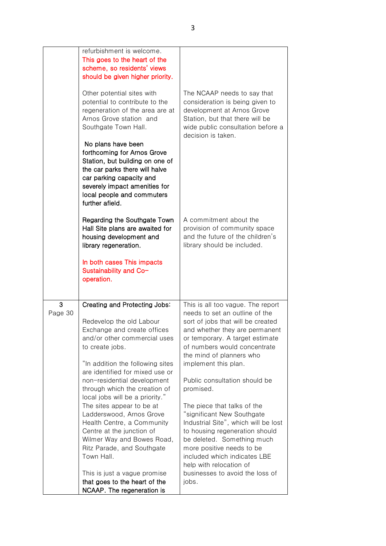|              | refurbishment is welcome.<br>This goes to the heart of the<br>scheme, so residents' views<br>should be given higher priority.<br>Other potential sites with<br>potential to contribute to the<br>regeneration of the area are at<br>Arnos Grove station and<br>Southgate Town Hall.<br>No plans have been<br>forthcoming for Arnos Grove<br>Station, but building on one of<br>the car parks there will halve<br>car parking capacity and<br>severely impact amenities for<br>local people and commuters<br>further afield.                                                                                        | The NCAAP needs to say that<br>consideration is being given to<br>development at Arnos Grove<br>Station, but that there will be<br>wide public consultation before a<br>decision is taken.                                                                                                                                                                                                                                                                                                                                                                                                                               |
|--------------|--------------------------------------------------------------------------------------------------------------------------------------------------------------------------------------------------------------------------------------------------------------------------------------------------------------------------------------------------------------------------------------------------------------------------------------------------------------------------------------------------------------------------------------------------------------------------------------------------------------------|--------------------------------------------------------------------------------------------------------------------------------------------------------------------------------------------------------------------------------------------------------------------------------------------------------------------------------------------------------------------------------------------------------------------------------------------------------------------------------------------------------------------------------------------------------------------------------------------------------------------------|
|              | Regarding the Southgate Town<br>Hall Site plans are awaited for<br>housing development and<br>library regeneration.<br>In both cases This impacts<br>Sustainability and Co-<br>operation.                                                                                                                                                                                                                                                                                                                                                                                                                          | A commitment about the<br>provision of community space<br>and the future of the children's<br>library should be included.                                                                                                                                                                                                                                                                                                                                                                                                                                                                                                |
| 3<br>Page 30 | Creating and Protecting Jobs:<br>Redevelop the old Labour<br>Exchange and create offices<br>and/or other commercial uses<br>to create jobs.<br>"In addition the following sites<br>are identified for mixed use or<br>non-residential development<br>through which the creation of<br>local jobs will be a priority."<br>The sites appear to be at<br>Ladderswood, Arnos Grove<br>Health Centre, a Community<br>Centre at the junction of<br>Wilmer Way and Bowes Road,<br>Ritz Parade, and Southgate<br>Town Hall.<br>This is just a vague promise<br>that goes to the heart of the<br>NCAAP. The regeneration is | This is all too vague. The report<br>needs to set an outline of the<br>sort of jobs that will be created<br>and whether they are permanent<br>or temporary. A target estimate<br>of numbers would concentrate<br>the mind of planners who<br>implement this plan.<br>Public consultation should be<br>promised.<br>The piece that talks of the<br>"significant New Southgate<br>Industrial Site", which will be lost<br>to housing regeneration should<br>be deleted. Something much<br>more positive needs to be<br>included which indicates LBE<br>help with relocation of<br>businesses to avoid the loss of<br>jobs. |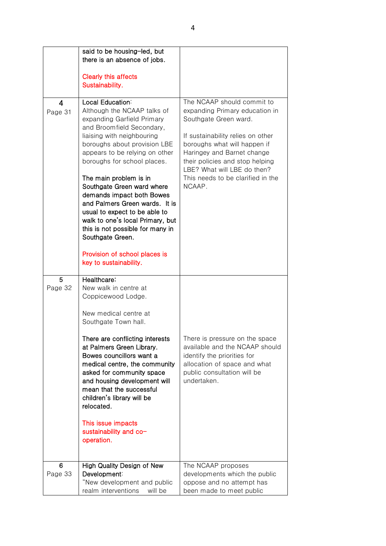|                           | said to be housing-led, but<br>there is an absence of jobs.                                                                                                                                                                                                                                                                                                                                                                                                                                                                                              |                                                                                                                                                                                                                                                                                                           |
|---------------------------|----------------------------------------------------------------------------------------------------------------------------------------------------------------------------------------------------------------------------------------------------------------------------------------------------------------------------------------------------------------------------------------------------------------------------------------------------------------------------------------------------------------------------------------------------------|-----------------------------------------------------------------------------------------------------------------------------------------------------------------------------------------------------------------------------------------------------------------------------------------------------------|
|                           | <b>Clearly this affects</b><br>Sustainability.                                                                                                                                                                                                                                                                                                                                                                                                                                                                                                           |                                                                                                                                                                                                                                                                                                           |
| $\overline{4}$<br>Page 31 | Local Education:<br>Although the NCAAP talks of<br>expanding Garfield Primary<br>and Broomfield Secondary,<br>liaising with neighbouring<br>boroughs about provision LBE<br>appears to be relying on other<br>boroughs for school places.<br>The main problem is in<br>Southgate Green ward where<br>demands impact both Bowes<br>and Palmers Green wards. It is<br>usual to expect to be able to<br>walk to one's local Primary, but<br>this is not possible for many in<br>Southgate Green.<br>Provision of school places is<br>key to sustainability. | The NCAAP should commit to<br>expanding Primary education in<br>Southgate Green ward.<br>If sustainability relies on other<br>boroughs what will happen if<br>Haringey and Barnet change<br>their policies and stop helping<br>LBE? What will LBE do then?<br>This needs to be clarified in the<br>NCAAP. |
| 5<br>Page 32              | Healthcare:<br>New walk in centre at<br>Coppicewood Lodge.<br>New medical centre at<br>Southgate Town hall.<br>There are conflicting interests<br>at Palmers Green Library.<br>Bowes councillors want a<br>medical centre, the community<br>asked for community space<br>and housing development will<br>mean that the successful<br>children's library will be<br>relocated.<br>This issue impacts<br>sustainability and co-<br>operation.                                                                                                              | There is pressure on the space<br>available and the NCAAP should<br>identify the priorities for<br>allocation of space and what<br>public consultation will be<br>undertaken.                                                                                                                             |
| 6<br>Page 33              | High Quality Design of New<br>Development:<br>"New development and public<br>realm interventions<br>will be                                                                                                                                                                                                                                                                                                                                                                                                                                              | The NCAAP proposes<br>developments which the public<br>oppose and no attempt has<br>been made to meet public                                                                                                                                                                                              |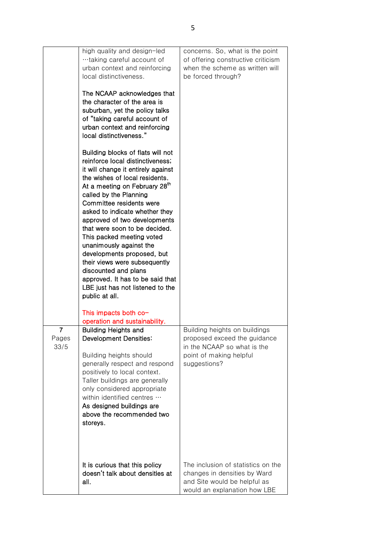|                    | high quality and design-led<br>taking careful account of<br>urban context and reinforcing<br>local distinctiveness.<br>The NCAAP acknowledges that<br>the character of the area is<br>suburban, yet the policy talks<br>of "taking careful account of<br>urban context and reinforcing<br>local distinctiveness."<br>Building blocks of flats will not<br>reinforce local distinctiveness;<br>it will change it entirely against<br>the wishes of local residents.<br>At a meeting on February 28 <sup>th</sup><br>called by the Planning<br>Committee residents were<br>asked to indicate whether they<br>approved of two developments<br>that were soon to be decided.<br>This packed meeting voted<br>unanimously against the<br>developments proposed, but<br>their views were subsequently<br>discounted and plans<br>approved. It has to be said that<br>LBE just has not listened to the<br>public at all. | concerns. So, what is the point<br>of offering constructive criticism<br>when the scheme as written will<br>be forced through?          |
|--------------------|-------------------------------------------------------------------------------------------------------------------------------------------------------------------------------------------------------------------------------------------------------------------------------------------------------------------------------------------------------------------------------------------------------------------------------------------------------------------------------------------------------------------------------------------------------------------------------------------------------------------------------------------------------------------------------------------------------------------------------------------------------------------------------------------------------------------------------------------------------------------------------------------------------------------|-----------------------------------------------------------------------------------------------------------------------------------------|
|                    | This impacts both co-<br>operation and sustainability.                                                                                                                                                                                                                                                                                                                                                                                                                                                                                                                                                                                                                                                                                                                                                                                                                                                            |                                                                                                                                         |
| 7<br>Pages<br>33/5 | <b>Building Heights and</b><br>Development Densities:<br>Building heights should<br>generally respect and respond<br>positively to local context.<br>Taller buildings are generally<br>only considered appropriate<br>within identified centres<br>As designed buildings are<br>above the recommended two<br>storeys.                                                                                                                                                                                                                                                                                                                                                                                                                                                                                                                                                                                             | Building heights on buildings<br>proposed exceed the guidance<br>in the NCAAP so what is the<br>point of making helpful<br>suggestions? |
|                    | It is curious that this policy<br>doesn't talk about densities at<br>all.                                                                                                                                                                                                                                                                                                                                                                                                                                                                                                                                                                                                                                                                                                                                                                                                                                         | The inclusion of statistics on the<br>changes in densities by Ward<br>and Site would be helpful as<br>would an explanation how LBE      |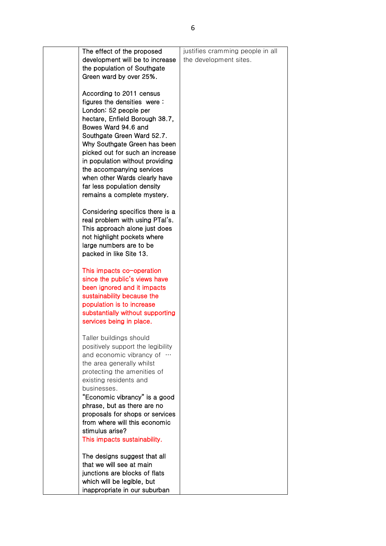| The effect of the proposed                                 | justifies cramming people in all |
|------------------------------------------------------------|----------------------------------|
| development will be to increase                            | the development sites.           |
| the population of Southgate                                |                                  |
| Green ward by over 25%.                                    |                                  |
|                                                            |                                  |
| According to 2011 census                                   |                                  |
| figures the densities were:                                |                                  |
| London: 52 people per                                      |                                  |
| hectare, Enfield Borough 38.7,                             |                                  |
| Bowes Ward 94.6 and                                        |                                  |
| Southgate Green Ward 52.7.                                 |                                  |
| Why Southgate Green has been                               |                                  |
| picked out for such an increase                            |                                  |
| in population without providing                            |                                  |
| the accompanying services                                  |                                  |
| when other Wards clearly have                              |                                  |
| far less population density                                |                                  |
| remains a complete mystery.                                |                                  |
|                                                            |                                  |
| Considering specifics there is a                           |                                  |
| real problem with using PTal's.                            |                                  |
| This approach alone just does                              |                                  |
| not highlight pockets where                                |                                  |
| large numbers are to be                                    |                                  |
| packed in like Site 13.                                    |                                  |
|                                                            |                                  |
| This impacts co-operation<br>since the public's views have |                                  |
| been ignored and it impacts                                |                                  |
| sustainability because the                                 |                                  |
| population is to increase                                  |                                  |
| substantially without supporting                           |                                  |
| services being in place.                                   |                                  |
|                                                            |                                  |
| Taller buildings should                                    |                                  |
| positively support the legibility                          |                                  |
| and economic vibrancy of                                   |                                  |
| the area generally whilst                                  |                                  |
| protecting the amenities of                                |                                  |
| existing residents and                                     |                                  |
| businesses.                                                |                                  |
| "Economic vibrancy" is a good                              |                                  |
| phrase, but as there are no                                |                                  |
| proposals for shops or services                            |                                  |
| from where will this economic                              |                                  |
| stimulus arise?                                            |                                  |
| This impacts sustainability.                               |                                  |
|                                                            |                                  |
| The designs suggest that all                               |                                  |
| that we will see at main                                   |                                  |
| junctions are blocks of flats                              |                                  |
| which will be legible, but                                 |                                  |
| inappropriate in our suburban                              |                                  |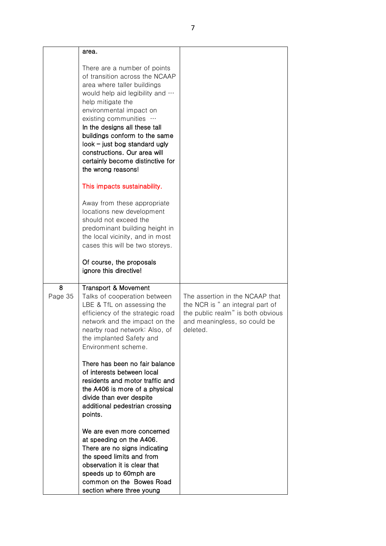|              | area.                                                                                                                                                                                                                                                                                                                                                                                                 |                                                                                                                                                      |
|--------------|-------------------------------------------------------------------------------------------------------------------------------------------------------------------------------------------------------------------------------------------------------------------------------------------------------------------------------------------------------------------------------------------------------|------------------------------------------------------------------------------------------------------------------------------------------------------|
|              | There are a number of points<br>of transition across the NCAAP<br>area where taller buildings<br>would help aid legibility and<br>help mitigate the<br>environmental impact on<br>existing communities<br>In the designs all these tall<br>buildings conform to the same<br>$look$ – just bog standard ugly<br>constructions. Our area will<br>certainly become distinctive for<br>the wrong reasons! |                                                                                                                                                      |
|              | This impacts sustainability.                                                                                                                                                                                                                                                                                                                                                                          |                                                                                                                                                      |
|              | Away from these appropriate<br>locations new development<br>should not exceed the<br>predominant building height in<br>the local vicinity, and in most<br>cases this will be two storeys.                                                                                                                                                                                                             |                                                                                                                                                      |
|              | Of course, the proposals<br>ignore this directive!                                                                                                                                                                                                                                                                                                                                                    |                                                                                                                                                      |
| 8<br>Page 35 | <b>Transport &amp; Movement</b><br>Talks of cooperation between<br>LBE & TfL on assessing the<br>efficiency of the strategic road<br>network and the impact on the<br>nearby road network: Also, of<br>the implanted Safety and<br>Environment scheme.                                                                                                                                                | The assertion in the NCAAP that<br>the NCR is " an integral part of<br>the public realm" is both obvious<br>and meaningless, so could be<br>deleted. |
|              | There has been no fair balance<br>of interests between local<br>residents and motor traffic and<br>the A406 is more of a physical<br>divide than ever despite<br>additional pedestrian crossing<br>points.                                                                                                                                                                                            |                                                                                                                                                      |
|              | We are even more concerned<br>at speeding on the A406.<br>There are no signs indicating<br>the speed limits and from<br>observation it is clear that<br>speeds up to 60mph are<br>common on the Bowes Road<br>section where three young                                                                                                                                                               |                                                                                                                                                      |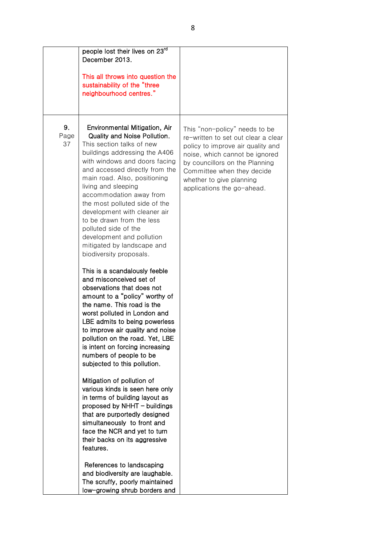|                  | people lost their lives on 23rd<br>December 2013.<br>This all throws into question the<br>sustainability of the "three<br>neighbourhood centres."                                                                                                                                                                                                                                                                                                                                                                                                                                                                                                                                                                                                                                                                                 |                                                                                                                                                                                                                                                                       |
|------------------|-----------------------------------------------------------------------------------------------------------------------------------------------------------------------------------------------------------------------------------------------------------------------------------------------------------------------------------------------------------------------------------------------------------------------------------------------------------------------------------------------------------------------------------------------------------------------------------------------------------------------------------------------------------------------------------------------------------------------------------------------------------------------------------------------------------------------------------|-----------------------------------------------------------------------------------------------------------------------------------------------------------------------------------------------------------------------------------------------------------------------|
| 9.<br>Page<br>37 | Environmental Mitigation, Air<br>Quality and Noise Pollution.<br>This section talks of new<br>buildings addressing the A406<br>with windows and doors facing<br>and accessed directly from the<br>main road. Also, positioning<br>living and sleeping<br>accommodation away from<br>the most polluted side of the<br>development with cleaner air<br>to be drawn from the less<br>polluted side of the<br>development and pollution<br>mitigated by landscape and<br>biodiversity proposals.<br>This is a scandalously feeble<br>and misconceived set of<br>observations that does not<br>amount to a "policy" worthy of<br>the name. This road is the<br>worst polluted in London and<br>LBE admits to being powerless<br>to improve air quality and noise<br>pollution on the road. Yet, LBE<br>is intent on forcing increasing | This "non-policy" needs to be<br>re-written to set out clear a clear<br>policy to improve air quality and<br>noise, which cannot be ignored<br>by councillors on the Planning<br>Committee when they decide<br>whether to give planning<br>applications the go-ahead. |
|                  | numbers of people to be<br>subjected to this pollution.<br>Mitigation of pollution of<br>various kinds is seen here only<br>in terms of building layout as<br>proposed by NHHT - buildings<br>that are purportedly designed<br>simultaneously to front and<br>face the NCR and yet to turn<br>their backs on its aggressive<br>features.<br>References to landscaping<br>and biodiversity are laughable.<br>The scruffy, poorly maintained<br>low-growing shrub borders and                                                                                                                                                                                                                                                                                                                                                       |                                                                                                                                                                                                                                                                       |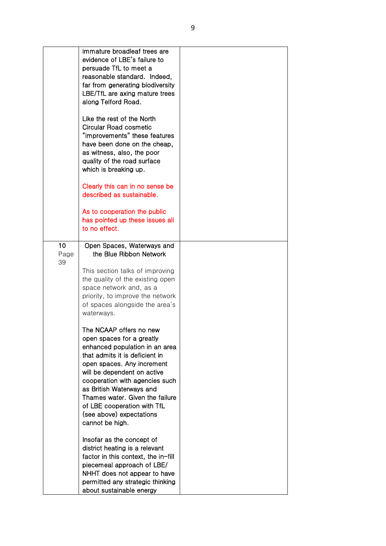|                  | immature broadleaf trees are<br>evidence of LBE's failure to<br>persuade TfL to meet a<br>reasonable standard. Indeed,<br>far from generating biodiversity<br>LBE/TfL are axing mature trees<br>along Telford Road.<br>Like the rest of the North<br><b>Circular Road cosmetic</b><br>"improvements" these features<br>have been done on the cheap,<br>as witness, also, the poor<br>quality of the road surface<br>which is breaking up. |  |
|------------------|-------------------------------------------------------------------------------------------------------------------------------------------------------------------------------------------------------------------------------------------------------------------------------------------------------------------------------------------------------------------------------------------------------------------------------------------|--|
|                  | Clearly this can in no sense be<br>described as sustainable.<br>As to cooperation the public<br>has pointed up these issues all<br>to no effect.                                                                                                                                                                                                                                                                                          |  |
| 10<br>Page<br>39 | Open Spaces, Waterways and<br>the Blue Ribbon Network<br>This section talks of improving<br>the quality of the existing open<br>space network and, as a<br>priority, to improve the network<br>of spaces alongside the area's<br>waterways.                                                                                                                                                                                               |  |
|                  | The NCAAP offers no new<br>open spaces for a greatly<br>enhanced population in an area<br>that admits it is deficient in<br>open spaces. Any increment<br>will be dependent on active<br>cooperation with agencies such<br>as British Waterways and<br>Thames water. Given the failure<br>of LBE cooperation with TfL<br>(see above) expectations<br>cannot be high.                                                                      |  |
|                  | Insofar as the concept of<br>district heating is a relevant<br>factor in this context, the in-fill<br>piecemeal approach of LBE/<br>NHHT does not appear to have<br>permitted any strategic thinking<br>about sustainable energy                                                                                                                                                                                                          |  |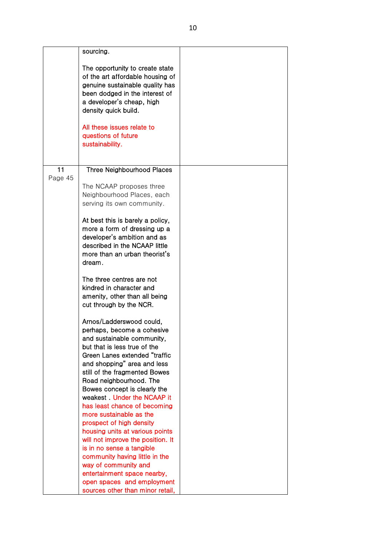|         | sourcing.                                                                                                                                                                                                                                                             |  |
|---------|-----------------------------------------------------------------------------------------------------------------------------------------------------------------------------------------------------------------------------------------------------------------------|--|
|         | The opportunity to create state<br>of the art affordable housing of<br>genuine sustainable quality has<br>been dodged in the interest of<br>a developer's cheap, high<br>density quick build.<br>All these issues relate to<br>questions of future<br>sustainability. |  |
| 11      | Three Neighbourhood Places                                                                                                                                                                                                                                            |  |
| Page 45 |                                                                                                                                                                                                                                                                       |  |
|         | The NCAAP proposes three                                                                                                                                                                                                                                              |  |
|         | Neighbourhood Places, each                                                                                                                                                                                                                                            |  |
|         | serving its own community.                                                                                                                                                                                                                                            |  |
|         |                                                                                                                                                                                                                                                                       |  |
|         | At best this is barely a policy,                                                                                                                                                                                                                                      |  |
|         | more a form of dressing up a                                                                                                                                                                                                                                          |  |
|         | developer's ambition and as                                                                                                                                                                                                                                           |  |
|         | described in the NCAAP little                                                                                                                                                                                                                                         |  |
|         | more than an urban theorist's                                                                                                                                                                                                                                         |  |
|         | dream.                                                                                                                                                                                                                                                                |  |
|         | The three centres are not                                                                                                                                                                                                                                             |  |
|         | kindred in character and                                                                                                                                                                                                                                              |  |
|         | amenity, other than all being                                                                                                                                                                                                                                         |  |
|         | cut through by the NCR.                                                                                                                                                                                                                                               |  |
|         |                                                                                                                                                                                                                                                                       |  |
|         | Arnos/Ladderswood could,                                                                                                                                                                                                                                              |  |
|         | perhaps, become a cohesive                                                                                                                                                                                                                                            |  |
|         | and sustainable community,                                                                                                                                                                                                                                            |  |
|         | but that is less true of the                                                                                                                                                                                                                                          |  |
|         | Green Lanes extended "traffic                                                                                                                                                                                                                                         |  |
|         | and shopping" area and less                                                                                                                                                                                                                                           |  |
|         | still of the fragmented Bowes                                                                                                                                                                                                                                         |  |
|         | Road neighbourhood. The                                                                                                                                                                                                                                               |  |
|         | Bowes concept is clearly the                                                                                                                                                                                                                                          |  |
|         | weakest. Under the NCAAP it                                                                                                                                                                                                                                           |  |
|         | has least chance of becoming                                                                                                                                                                                                                                          |  |
|         | more sustainable as the                                                                                                                                                                                                                                               |  |
|         | prospect of high density                                                                                                                                                                                                                                              |  |
|         | housing units at various points                                                                                                                                                                                                                                       |  |
|         | will not improve the position. It                                                                                                                                                                                                                                     |  |
|         | is in no sense a tangible<br>community having little in the                                                                                                                                                                                                           |  |
|         | way of community and                                                                                                                                                                                                                                                  |  |
|         | entertainment space nearby,                                                                                                                                                                                                                                           |  |
|         | open spaces and employment                                                                                                                                                                                                                                            |  |
|         | sources other than minor retail,                                                                                                                                                                                                                                      |  |
|         |                                                                                                                                                                                                                                                                       |  |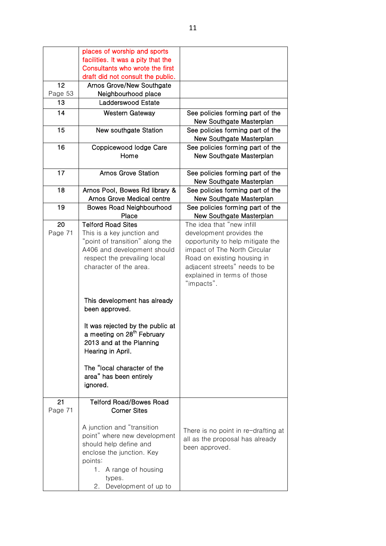|         | places of worship and sports           |                                     |
|---------|----------------------------------------|-------------------------------------|
|         | facilities. It was a pity that the     |                                     |
|         | Consultants who wrote the first        |                                     |
|         | draft did not consult the public.      |                                     |
| 12      | <b>Arnos Grove/New Southgate</b>       |                                     |
| Page 53 | Neighbourhood place                    |                                     |
| 13      | Ladderswood Estate                     |                                     |
| 14      | <b>Western Gateway</b>                 | See policies forming part of the    |
|         |                                        | New Southgate Masterplan            |
| 15      | New southgate Station                  | See policies forming part of the    |
|         |                                        | New Southgate Masterplan            |
| 16      |                                        |                                     |
|         | Coppicewood lodge Care                 | See policies forming part of the    |
|         | Home                                   | New Southgate Masterplan            |
|         |                                        |                                     |
| 17      | <b>Arnos Grove Station</b>             | See policies forming part of the    |
|         |                                        | New Southgate Masterplan            |
| 18      | Arnos Pool, Bowes Rd library &         | See policies forming part of the    |
|         | Arnos Grove Medical centre             | New Southgate Masterplan            |
| 19      | <b>Bowes Road Neighbourhood</b>        | See policies forming part of the    |
|         | Place                                  | New Southgate Masterplan            |
| 20      | <b>Telford Road Sites</b>              | The idea that "new infill           |
| Page 71 | This is a key junction and             | development provides the            |
|         | point of transition" along the         | opportunity to help mitigate the    |
|         | A406 and development should            | impact of The North Circular        |
|         | respect the prevailing local           | Road on existing housing in         |
|         | character of the area.                 | adjacent streets" needs to be       |
|         |                                        | explained in terms of those         |
|         |                                        | "impacts".                          |
|         |                                        |                                     |
|         | This development has already           |                                     |
|         | been approved.                         |                                     |
|         |                                        |                                     |
|         | It was rejected by the public at       |                                     |
|         | a meeting on 28 <sup>th</sup> February |                                     |
|         | 2013 and at the Planning               |                                     |
|         | Hearing in April.                      |                                     |
|         |                                        |                                     |
|         | The "local character of the            |                                     |
|         | area" has been entirely                |                                     |
|         | ignored.                               |                                     |
|         |                                        |                                     |
| 21      | <b>Telford Road/Bowes Road</b>         |                                     |
| Page 71 | <b>Corner Sites</b>                    |                                     |
|         |                                        |                                     |
|         | A junction and "transition             |                                     |
|         | point" where new development           | There is no point in re-drafting at |
|         | should help define and                 | all as the proposal has already     |
|         | enclose the junction. Key              | been approved.                      |
|         |                                        |                                     |
|         | points:                                |                                     |
|         | 1. A range of housing                  |                                     |
|         | types.                                 |                                     |
|         | Development of up to<br>2.             |                                     |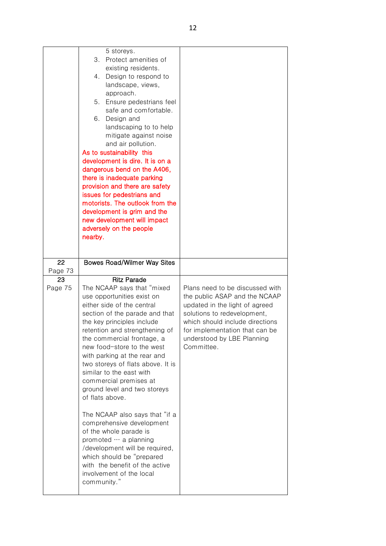|               | 5 storeys.<br>3.<br>Protect amenities of<br>existing residents.<br>4.<br>Design to respond to<br>landscape, views,<br>approach.<br>Ensure pedestrians feel<br>5.<br>safe and comfortable.<br>6.<br>Design and<br>landscaping to to help<br>mitigate against noise<br>and air pollution.<br>As to sustainability this<br>development is dire. It is on a<br>dangerous bend on the A406,<br>there is inadequate parking<br>provision and there are safety<br>issues for pedestrians and<br>motorists. The outlook from the<br>development is grim and the<br>new development will impact<br>adversely on the people<br>nearby.                                                                                          |                                                                                                                                                                                                                                                    |
|---------------|-----------------------------------------------------------------------------------------------------------------------------------------------------------------------------------------------------------------------------------------------------------------------------------------------------------------------------------------------------------------------------------------------------------------------------------------------------------------------------------------------------------------------------------------------------------------------------------------------------------------------------------------------------------------------------------------------------------------------|----------------------------------------------------------------------------------------------------------------------------------------------------------------------------------------------------------------------------------------------------|
| 22<br>Page 73 | <b>Bowes Road/Wilmer Way Sites</b>                                                                                                                                                                                                                                                                                                                                                                                                                                                                                                                                                                                                                                                                                    |                                                                                                                                                                                                                                                    |
| 23<br>Page 75 | <b>Ritz Parade</b><br>The NCAAP says that "mixed<br>use opportunities exist on<br>either side of the central<br>section of the parade and that<br>the key principles include<br>retention and strengthening of<br>the commercial frontage, a<br>new food-store to the west<br>with parking at the rear and<br>two storeys of flats above. It is<br>similar to the east with<br>commercial premises at<br>ground level and two storeys<br>of flats above.<br>The NCAAP also says that "if a<br>comprehensive development<br>of the whole parade is<br>promoted  a planning<br>/development will be required,<br>which should be "prepared<br>with the benefit of the active<br>involvement of the local<br>community." | Plans need to be discussed with<br>the public ASAP and the NCAAP<br>updated in the light of agreed<br>solutions to redevelopment,<br>which should include directions<br>for implementation that can be<br>understood by LBE Planning<br>Committee. |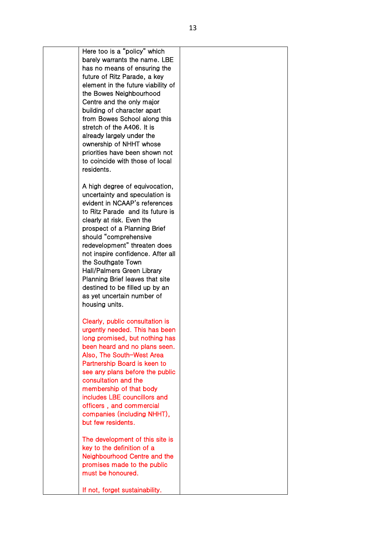Here too is a "policy" which barely warrants the name. LBE has no means of ensuring the future of Ritz Parade, a key element in the future viability of the Bowes Neighbourhood Centre and the only major building of character apart from Bowes School along this stretch of the A406. It is already largely under the ownership of NHHT whose priorities have been shown not to coincide with those of local residents. A high degree of equivocation, uncertainty and speculation is evident in NCAAP's references to Ritz Parade and its future is clearly at risk. Even the prospect of a Planning Brief should "comprehensive redevelopment" threaten does not inspire confidence. After all the Southgate Town Hall/Palmers Green Library Planning Brief leaves that site destined to be filled up by an as yet uncertain number of housing units. Clearly, public consultation is urgently needed. This has been long promised, but nothing has been heard and no plans seen. Also, The South-West Area Partnership Board is keen to see any plans before the public consultation and the membership of that body includes LBE councillors and officers , and commercial companies (including NHHT), but few residents. The development of this site is key to the definition of a Neighbourhood Centre and the promises made to the public must be honoured. If not, forget sustainability.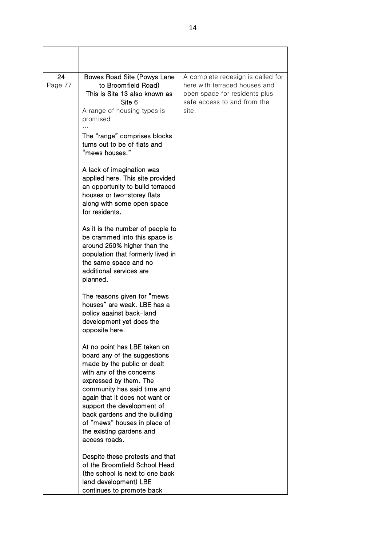| 24<br>Page 77 | Bowes Road Site (Powys Lane<br>to Broomfield Road)<br>This is Site 13 also known as<br>Site 6<br>A range of housing types is<br>promised                                                                                                                                                                                                                       | A complete redesign is called for<br>here with terraced houses and<br>open space for residents plus<br>safe access to and from the<br>site. |
|---------------|----------------------------------------------------------------------------------------------------------------------------------------------------------------------------------------------------------------------------------------------------------------------------------------------------------------------------------------------------------------|---------------------------------------------------------------------------------------------------------------------------------------------|
|               | The "range" comprises blocks<br>turns out to be of flats and<br>"mews houses."                                                                                                                                                                                                                                                                                 |                                                                                                                                             |
|               | A lack of imagination was<br>applied here. This site provided<br>an opportunity to build terraced<br>houses or two-storey flats<br>along with some open space<br>for residents.                                                                                                                                                                                |                                                                                                                                             |
|               | As it is the number of people to<br>be crammed into this space is<br>around 250% higher than the<br>population that formerly lived in<br>the same space and no<br>additional services are<br>planned.                                                                                                                                                          |                                                                                                                                             |
|               | The reasons given for "mews"<br>houses" are weak. LBE has a<br>policy against back-land<br>development yet does the<br>opposite here.                                                                                                                                                                                                                          |                                                                                                                                             |
|               | At no point has LBE taken on<br>board any of the suggestions<br>made by the public or dealt<br>with any of the concerns<br>expressed by them. The<br>community has said time and<br>again that it does not want or<br>support the development of<br>back gardens and the building<br>of "mews" houses in place of<br>the existing gardens and<br>access roads. |                                                                                                                                             |
|               | Despite these protests and that<br>of the Broomfield School Head<br>(the school is next to one back)<br>land development) LBE<br>continues to promote back                                                                                                                                                                                                     |                                                                                                                                             |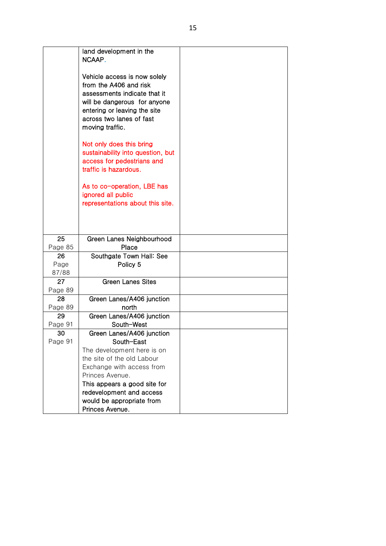|                     | land development in the<br>NCAAP.                                                                                                                                                                     |  |
|---------------------|-------------------------------------------------------------------------------------------------------------------------------------------------------------------------------------------------------|--|
|                     | Vehicle access is now solely<br>from the A406 and risk<br>assessments indicate that it<br>will be dangerous for anyone<br>entering or leaving the site<br>across two lanes of fast<br>moving traffic. |  |
|                     | Not only does this bring<br>sustainability into question, but<br>access for pedestrians and<br>traffic is hazardous.                                                                                  |  |
|                     | As to co-operation, LBE has<br>ignored all public<br>representations about this site.                                                                                                                 |  |
|                     |                                                                                                                                                                                                       |  |
| 25<br>Page 85       | Green Lanes Neighbourhood<br>Place                                                                                                                                                                    |  |
| 26<br>Page<br>87/88 | Southgate Town Hall: See<br>Policy 5                                                                                                                                                                  |  |
| 27<br>Page 89       | <b>Green Lanes Sites</b>                                                                                                                                                                              |  |
| 28<br>Page 89       | Green Lanes/A406 junction<br>north                                                                                                                                                                    |  |
| 29<br>Page 91       | Green Lanes/A406 junction<br>South-West                                                                                                                                                               |  |
| 30<br>Page 91       | Green Lanes/A406 junction<br>South-East<br>The development here is on                                                                                                                                 |  |
|                     | the site of the old Labour<br>Exchange with access from<br>Princes Avenue.                                                                                                                            |  |
|                     | This appears a good site for<br>redevelopment and access                                                                                                                                              |  |
|                     | would be appropriate from<br>Princes Avenue.                                                                                                                                                          |  |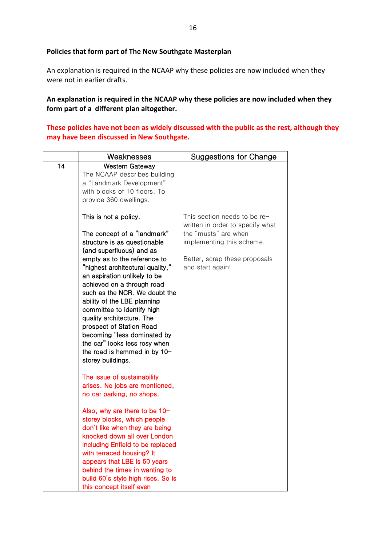## **Policies that form part of The New Southgate Masterplan**

An explanation is required in the NCAAP why these policies are now included when they were not in earlier drafts.

**An explanation is required in the NCAAP why these policies are now included when they form part of a different plan altogether.**

**These policies have not been as widely discussed with the public as the rest, although they may have been discussed in New Southgate.**

|    | Weaknesses                                                                                                                                                                                                                                                                                                                                                                                                                                                                                                                     | Suggestions for Change                                                                                                                                                     |
|----|--------------------------------------------------------------------------------------------------------------------------------------------------------------------------------------------------------------------------------------------------------------------------------------------------------------------------------------------------------------------------------------------------------------------------------------------------------------------------------------------------------------------------------|----------------------------------------------------------------------------------------------------------------------------------------------------------------------------|
| 14 | <b>Western Gateway</b><br>The NCAAP describes building<br>a "Landmark Development"<br>with blocks of 10 floors. To<br>provide 360 dwellings.                                                                                                                                                                                                                                                                                                                                                                                   |                                                                                                                                                                            |
|    | This is not a policy.<br>The concept of a "landmark"<br>structure is as questionable<br>(and superfluous) and as<br>empty as to the reference to<br>"highest architectural quality,"<br>an aspiration unlikely to be<br>achieved on a through road<br>such as the NCR. We doubt the<br>ability of the LBE planning<br>committee to identify high<br>quality architecture. The<br>prospect of Station Road<br>becoming "less dominated by<br>the car" looks less rosy when<br>the road is hemmed in by 10-<br>storey buildings. | This section needs to be re-<br>written in order to specify what<br>the "musts" are when<br>implementing this scheme.<br>Better, scrap these proposals<br>and start again! |
|    | The issue of sustainability<br>arises. No jobs are mentioned,<br>no car parking, no shops.<br>Also, why are there to be 10-<br>storey blocks, which people<br>don't like when they are being<br>knocked down all over London<br>including Enfield to be replaced<br>with terraced housing? It<br>appears that LBE is 50 years<br>behind the times in wanting to<br>build 60's style high rises. So Is<br>this concept itself even                                                                                              |                                                                                                                                                                            |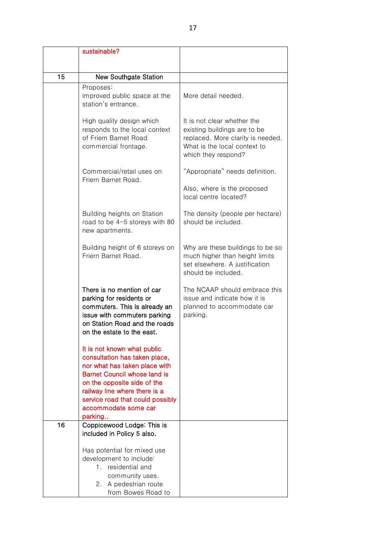|    | sustainable?                                                                                                                                                                                                                                                                |                                                                                                                                                         |
|----|-----------------------------------------------------------------------------------------------------------------------------------------------------------------------------------------------------------------------------------------------------------------------------|---------------------------------------------------------------------------------------------------------------------------------------------------------|
|    |                                                                                                                                                                                                                                                                             |                                                                                                                                                         |
| 15 | <b>New Southgate Station</b>                                                                                                                                                                                                                                                |                                                                                                                                                         |
|    | Proposes:<br>improved public space at the<br>station's entrance.                                                                                                                                                                                                            | More detail needed.                                                                                                                                     |
|    | High quality design which<br>responds to the local context<br>of Friern Barnet Road<br>commercial frontage.                                                                                                                                                                 | It is not clear whether the<br>existing buildings are to be<br>replaced. More clarity is needed.<br>What is the local context to<br>which they respond? |
|    | Commercial/retail uses on<br>Friern Barnet Road.                                                                                                                                                                                                                            | "Appropriate" needs definition.                                                                                                                         |
|    |                                                                                                                                                                                                                                                                             | Also, where is the proposed<br>local centre located?                                                                                                    |
|    | Building heights on Station<br>road to be 4-5 storeys with 80<br>new apartments.                                                                                                                                                                                            | The density (people per hectare)<br>should be included.                                                                                                 |
|    | Building height of 6 storeys on<br>Friern Barnet Road.                                                                                                                                                                                                                      | Why are these buildings to be so<br>much higher than height limits<br>set elsewhere. A justification<br>should be included.                             |
|    | There is no mention of car<br>parking for residents or<br>commuters. This is already an<br>issue with commuters parking<br>on Station Road and the roads<br>on the estate to the east.                                                                                      | The NCAAP should embrace this<br>issue and indicate how it is<br>planned to accommodate car<br>parking.                                                 |
|    | It is not known what public<br>consultation has taken place,<br>nor what has taken place with<br><b>Barnet Council whose land is</b><br>on the opposite side of the<br>railway line where there is a<br>service road that could possibly<br>accommodate some car<br>parking |                                                                                                                                                         |
| 16 | Coppicewood Lodge: This is<br>included in Policy 5 also.                                                                                                                                                                                                                    |                                                                                                                                                         |
|    | Has potential for mixed use<br>development to include:<br>1. residential and<br>community uses.<br>2. A pedestrian route<br>from Bowes Road to                                                                                                                              |                                                                                                                                                         |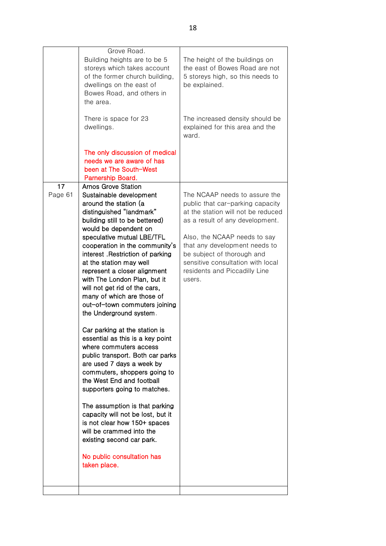|               | Grove Road.<br>Building heights are to be 5<br>storeys which takes account<br>of the former church building,<br>dwellings on the east of<br>Bowes Road, and others in<br>the area.<br>There is space for 23<br>dwellings.                                                                                                                                                                                                                                                                                                                                                                                                                                                                                                                                                                                                                                                                                                                                                   | The height of the buildings on<br>the east of Bowes Road are not<br>5 storeys high, so this needs to<br>be explained.<br>The increased density should be<br>explained for this area and the<br>ward.                                                                                                                      |
|---------------|-----------------------------------------------------------------------------------------------------------------------------------------------------------------------------------------------------------------------------------------------------------------------------------------------------------------------------------------------------------------------------------------------------------------------------------------------------------------------------------------------------------------------------------------------------------------------------------------------------------------------------------------------------------------------------------------------------------------------------------------------------------------------------------------------------------------------------------------------------------------------------------------------------------------------------------------------------------------------------|---------------------------------------------------------------------------------------------------------------------------------------------------------------------------------------------------------------------------------------------------------------------------------------------------------------------------|
|               | The only discussion of medical<br>needs we are aware of has<br>been at The South-West<br>Parnership Board.                                                                                                                                                                                                                                                                                                                                                                                                                                                                                                                                                                                                                                                                                                                                                                                                                                                                  |                                                                                                                                                                                                                                                                                                                           |
| 17<br>Page 61 | <b>Arnos Grove Station</b><br>Sustainable development<br>around the station (a<br>distinguished "landmark"<br>building still to be bettered)<br>would be dependent on<br>speculative mutual LBE/TFL<br>cooperation in the community's<br>interest . Restriction of parking<br>at the station may well<br>represent a closer alignment<br>with The London Plan, but it<br>will not get rid of the cars,<br>many of which are those of<br>out-of-town commuters joining<br>the Underground system.<br>Car parking at the station is<br>essential as this is a key point<br>where commuters access<br>public transport. Both car parks<br>are used 7 days a week by<br>commuters, shoppers going to<br>the West End and football<br>supporters going to matches.<br>The assumption is that parking<br>capacity will not be lost, but it<br>is not clear how 150+ spaces<br>will be crammed into the<br>existing second car park.<br>No public consultation has<br>taken place. | The NCAAP needs to assure the<br>public that car-parking capacity<br>at the station will not be reduced<br>as a result of any development.<br>Also, the NCAAP needs to say<br>that any development needs to<br>be subject of thorough and<br>sensitive consultation with local<br>residents and Piccadilly Line<br>users. |
|               |                                                                                                                                                                                                                                                                                                                                                                                                                                                                                                                                                                                                                                                                                                                                                                                                                                                                                                                                                                             |                                                                                                                                                                                                                                                                                                                           |